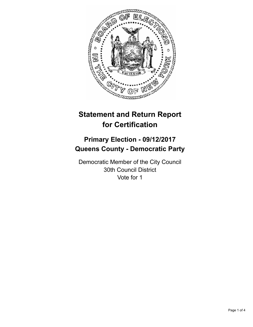

# **Statement and Return Report for Certification**

## **Primary Election - 09/12/2017 Queens County - Democratic Party**

Democratic Member of the City Council 30th Council District Vote for 1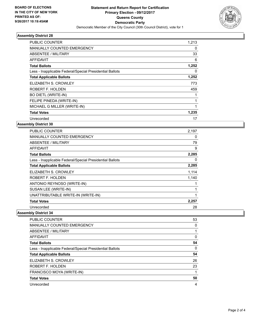

## **Assembly District 28**

| <b>PUBLIC COUNTER</b>                                    | 1,213 |
|----------------------------------------------------------|-------|
| <b>MANUALLY COUNTED EMERGENCY</b>                        | 0     |
| ABSENTEE / MILITARY                                      | 33    |
| <b>AFFIDAVIT</b>                                         | 6     |
| <b>Total Ballots</b>                                     | 1,252 |
| Less - Inapplicable Federal/Special Presidential Ballots | 0     |
| <b>Total Applicable Ballots</b>                          | 1,252 |
| ELIZABETH S. CROWLEY                                     | 773   |
| ROBERT F. HOLDEN                                         | 459   |
| <b>BO DIETL (WRITE-IN)</b>                               |       |
| FELIPE PINEDA (WRITE-IN)                                 | 1     |
| MICHAEL G MILLER (WRITE-IN)                              |       |
| <b>Total Votes</b>                                       | 1,235 |
| Unrecorded                                               | 17    |

## **Assembly District 30**

| <b>PUBLIC COUNTER</b>                                    | 2,197 |
|----------------------------------------------------------|-------|
| <b>MANUALLY COUNTED EMERGENCY</b>                        | 0     |
| ABSENTEE / MILITARY                                      | 79    |
| <b>AFFIDAVIT</b>                                         | 9     |
| <b>Total Ballots</b>                                     | 2,285 |
| Less - Inapplicable Federal/Special Presidential Ballots | 0     |
| <b>Total Applicable Ballots</b>                          | 2,285 |
| ELIZABETH S. CROWLEY                                     | 1,114 |
| ROBERT F. HOLDEN                                         | 1,140 |
| ANTONIO REYNOSO (WRITE-IN)                               |       |
| SUSAN LEE (WRITE-IN)                                     |       |
| UNATTRIBUTABLE WRITE-IN (WRITE-IN)                       |       |
| <b>Total Votes</b>                                       | 2,257 |
| Unrecorded                                               | 28    |

#### **Assembly District 34**

| <b>PUBLIC COUNTER</b>                                    | 53 |
|----------------------------------------------------------|----|
| <b>MANUALLY COUNTED EMERGENCY</b>                        | 0  |
| ABSENTEE / MILITARY                                      |    |
| AFFIDAVIT                                                | 0  |
| <b>Total Ballots</b>                                     | 54 |
| Less - Inapplicable Federal/Special Presidential Ballots | 0  |
| <b>Total Applicable Ballots</b>                          | 54 |
| ELIZABETH S. CROWLEY                                     | 26 |
| ROBERT F. HOLDEN                                         | 23 |
| FRANCISCO MOYA (WRITE-IN)                                |    |
| <b>Total Votes</b>                                       | 50 |
| Unrecorded                                               | 4  |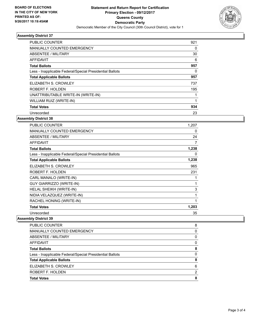

## **Assembly District 37**

| <b>PUBLIC COUNTER</b>                                    | 921 |
|----------------------------------------------------------|-----|
| <b>MANUALLY COUNTED EMERGENCY</b>                        | 0   |
| ABSENTEE / MILITARY                                      | 30  |
| AFFIDAVIT                                                | 6   |
| <b>Total Ballots</b>                                     | 957 |
| Less - Inapplicable Federal/Special Presidential Ballots | 0   |
| <b>Total Applicable Ballots</b>                          | 957 |
| ELIZABETH S. CROWLEY                                     | 737 |
| ROBERT F. HOLDEN                                         | 195 |
| UNATTRIBUTABLE WRITE-IN (WRITE-IN)                       |     |
| WILLIAM RUIZ (WRITE-IN)                                  |     |
| <b>Total Votes</b>                                       | 934 |
| Unrecorded                                               | 23  |
|                                                          |     |

#### **Assembly District 38**

| <b>PUBLIC COUNTER</b>                                    | 1,207        |
|----------------------------------------------------------|--------------|
| <b>MANUALLY COUNTED EMERGENCY</b>                        | 0            |
| ABSENTEE / MILITARY                                      | 24           |
| <b>AFFIDAVIT</b>                                         | 7            |
| <b>Total Ballots</b>                                     | 1,238        |
| Less - Inapplicable Federal/Special Presidential Ballots | 0            |
| <b>Total Applicable Ballots</b>                          | 1,238        |
| ELIZABETH S. CROWLEY                                     | 965          |
| ROBERT F. HOLDEN                                         | 231          |
| CARL MANALO (WRITE-IN)                                   |              |
| <b>GUY GIARRIZZO (WRITE-IN)</b>                          |              |
| HELAL SHEIKH (WRITE-IN)                                  | 3            |
| NIDIA VELAZQUEZ (WRITE-IN)                               | 1            |
| RACHEL HONING (WRITE-IN)                                 | $\mathbf{1}$ |
| <b>Total Votes</b>                                       | 1,203        |
| Unrecorded                                               | 35           |

## **Assembly District 39**

| <b>Total Votes</b>                                       | 8 |
|----------------------------------------------------------|---|
| ROBERT F. HOLDEN                                         | 2 |
| ELIZABETH S. CROWLEY                                     | 6 |
| <b>Total Applicable Ballots</b>                          | 8 |
| Less - Inapplicable Federal/Special Presidential Ballots | 0 |
| <b>Total Ballots</b>                                     | 8 |
| AFFIDAVIT                                                | 0 |
| ABSENTEE / MILITARY                                      | 0 |
| MANUALLY COUNTED EMERGENCY                               | 0 |
| PUBLIC COUNTER                                           | 8 |